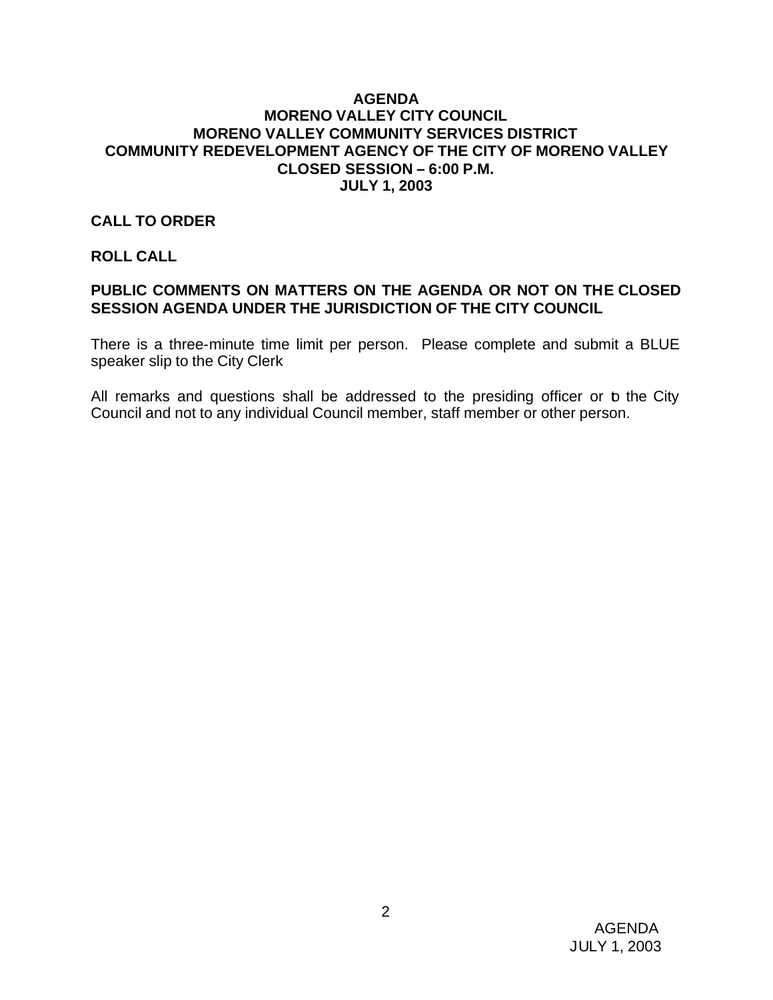#### **AGENDA MORENO VALLEY CITY COUNCIL MORENO VALLEY COMMUNITY SERVICES DISTRICT COMMUNITY REDEVELOPMENT AGENCY OF THE CITY OF MORENO VALLEY CLOSED SESSION – 6:00 P.M. JULY 1, 2003**

#### **CALL TO ORDER**

#### **ROLL CALL**

## **PUBLIC COMMENTS ON MATTERS ON THE AGENDA OR NOT ON THE CLOSED SESSION AGENDA UNDER THE JURISDICTION OF THE CITY COUNCIL**

There is a three-minute time limit per person. Please complete and submit a BLUE speaker slip to the City Clerk

All remarks and questions shall be addressed to the presiding officer or b the City Council and not to any individual Council member, staff member or other person.